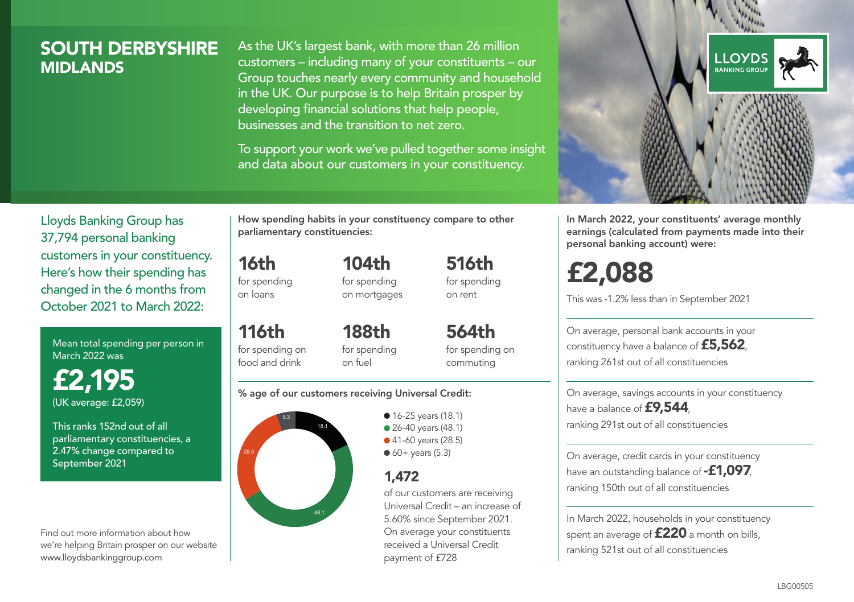## SOUTH DERBYSHIRE **MIDI ANDS**

As the UK's largest bank, with more than 26 million customers – including many of your constituents – our Group touches nearly every community and household in the UK. Our purpose is to help Britain prosper by developing financial solutions that help people, businesses and the transition to net zero.

To support your work we've pulled together some insight and data about our customers in your constituency.



In March 2022, your constituents' average monthly earnings (calculated from payments made into their personal banking account) were:

# £2,088

This was -1.2% less than in September 2021

On average, personal bank accounts in your constituency have a balance of £5,562, ranking 261st out of all constituencies

On average, savings accounts in your constituency have a balance of **£9,544**, ranking 291st out of all constituencies

On average, credit cards in your constituency have an outstanding balance of **-£1,097** ranking 150th out of all constituencies

In March 2022, households in your constituency spent an average of £220 a month on bills, ranking 521st out of all constituencies

Lloyds Banking Group has 37,794 personal banking customers in your constituency. Here's how their spending has changed in the 6 months from October 2021 to March 2022:

Mean total spending per person in March 2022 was

£2,195 (UK average: £2,059)

This ranks 152nd out of all parliamentary constituencies, a 2.47% change compared to September 2021

Find out more information about how we're helping Britain prosper on our website www.lloydsbankinggroup.com

How spending habits in your constituency compare to other parliamentary constituencies:

for spending 104th

16th

on loans

116th

for spending on mortgages

for spending on food and drink 188th for spending on fuel

564th for spending on commuting

516th for spending on rent

#### % age of our customers receiving Universal Credit:



• 16-25 years (18.1) ● 26-40 years (48.1) ● 41-60 years (28.5)  $60+$  years (5.3)

## 1,472

of our customers are receiving Universal Credit – an increase of 5.60% since September 2021. On average your constituents received a Universal Credit payment of £728